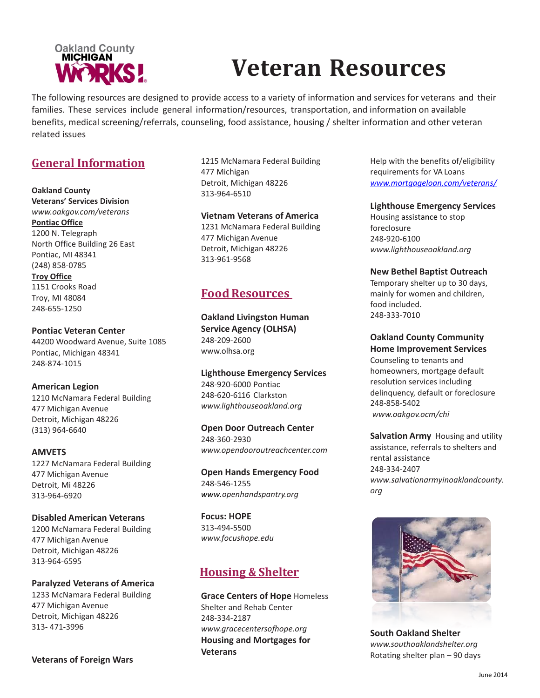

# **Veteran Resources**

The following resources are designed to provide access to a variety of information and services for veterans and their families. These services include general information/resources, transportation, and information on available benefits, medical screening/referrals, counseling, food assistance, housing / shelter information and other veteran related issues

# **General Information**

# **Oakland County**

**Veterans' Services Division**  *[www.oakgov.com/veterans](http://www.oakgov.com/veterans)* **Pontiac Office** 1200 N. Telegraph North Office Building 26 East Pontiac, MI 48341 (248) 858-0785 **Troy Office**

1151 Crooks Road Troy, MI 48084 248-655-1250

**Pontiac Veteran Center** 44200 Woodward Avenue, Suite 1085 Pontiac, Michigan 48341 248-874-1015

# **American Legion**

1210 McNamara Federal Building 477 Michigan Avenue Detroit, Michigan 48226 (313) 964-6640

**AMVETS** 1227 McNamara Federal Building

477 Michigan Avenue Detroit, Mi 48226 313-964-6920

## **Disabled American Veterans**

1200 McNamara Federal Building 477 Michigan Avenue Detroit, Michigan 48226 313-964-6595

## **Paralyzed Veterans of America**

1233 McNamara Federal Building 477 Michigan Avenue Detroit, Michigan 48226 313- 471-3996

1215 McNamara Federal Building 477 Michigan Detroit, Michigan 48226 313-964-6510

## **Vietnam Veterans of America**

1231 McNamara Federal Building 477 Michigan Avenue Detroit, Michigan 48226 313-961-9568

# **FoodResources**

**Oakland Livingston Human Service Agency (OLHSA)**  248-209-2600 [www.olhsa.org](http://www.olhsa.org/)

**Lighthouse Emergency Services** 248-920-6000 Pontiac 248-620-6116 Clarkston *[www.lighthouseoakland.org](http://www.lighthouseoakland.org/)*

**Open Door Outreach Center** 248-360-2930 *[www.opendooroutreachcenter.com](http://www.opendooroutreachcenter.com/)*

**Open Hands Emergency Food** 248-546-1255 *www[.openhandspantry.org](mailto:pantry@openhandspantry.org)*

**Focus: HOPE** 313-494-5500 *[www.focushope.edu](http://www.focushope.edu/)*

# **Housing & Shelter**

**Grace Centers of Hope** Homeless Shelter and Rehab Center 248-334-2187 *[www.gracecentersofhope.org](http://www.gracecentersofhope.org/)* **Housing and Mortgages for Veterans** 

Help with the benefits of/eligibility requirements for VA Loans *[www.mortgageloan.com/veterans/](http://www.mortgageloan.com/veterans/)*

**Lighthouse Emergency Services**

Housing assistance to stop foreclosure 248-920-6100 *[www.lighthouseoakland.org](http://www.lighthouseoakland.org/)*

## **New Bethel Baptist Outreach**

Temporary shelter up to 30 days, mainly for women and children, food included. 248-333-7010

**Oakland County Community** 

**Home Improvement Services** Counseling to tenants and homeowners, mortgage default resolution services including delinquency, default or foreclosure 248-858-5402 *[www.oakgov.ocm/chi](http://www.oakgov.ocm/chi)*

**Salvation Army** [H](http://www.salvationarmyinoaklandcounty.org/)ousing and utility assistance, referrals to shelters and rental assistance 248-334-2407 *www.salvationarmyinoaklandcounty. org*



**South Oakland Shelter**  *[www.southoaklandshelter.org](http://www.southoaklandshelter.org/)* Rotating shelter plan – 90 days

**Veterans of Foreign Wars**